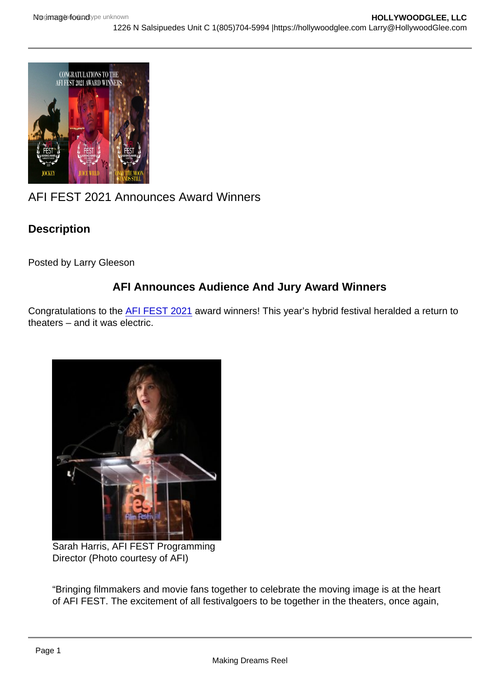# AFI FEST 2021 Announces Award Winners

**Description** 

Posted by Larry Gleeson

## AFI Announces Audience And Jury Award Winners

Congratulations to the [AFI FEST 2021](https://fest.afi.com/) award winners! This year's hybrid festival heralded a return to theaters – and it was electric.

Sarah Harris, AFI FEST Programming Director (Photo courtesy of AFI)

"Bringing filmmakers and movie fans together to celebrate the moving image is at the heart of AFI FEST. The excitement of all festivalgoers to be together in the theaters, once again,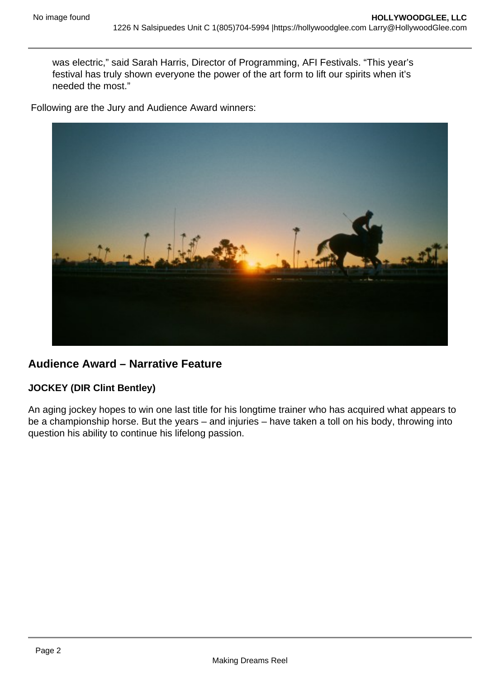was electric," said Sarah Harris, Director of Programming, AFI Festivals. "This year's festival has truly shown everyone the power of the art form to lift our spirits when it's needed the most."

Following are the Jury and Audience Award winners:



## **Audience Award – Narrative Feature**

#### **JOCKEY (DIR Clint Bentley)**

An aging jockey hopes to win one last title for his longtime trainer who has acquired what appears to be a championship horse. But the years – and injuries – have taken a toll on his body, throwing into question his ability to continue his lifelong passion.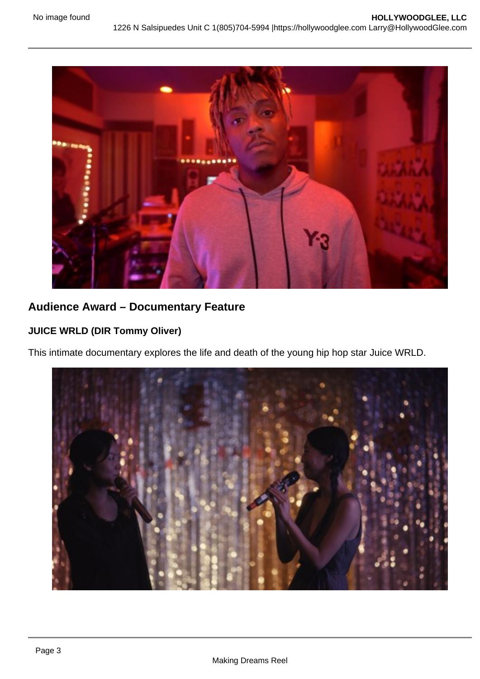

# **Audience Award – Documentary Feature**

#### **JUICE WRLD (DIR Tommy Oliver)**

This intimate documentary explores the life and death of the young hip hop star Juice WRLD.

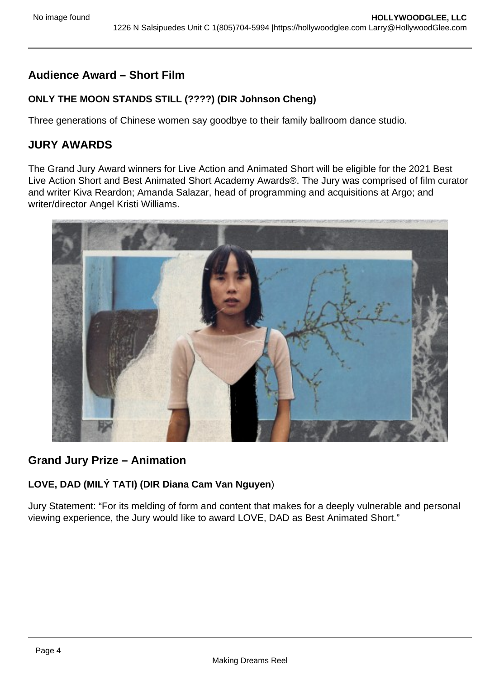# **Audience Award – Short Film**

### **ONLY THE MOON STANDS STILL (????) (DIR Johnson Cheng)**

Three generations of Chinese women say goodbye to their family ballroom dance studio.

## **JURY AWARDS**

The Grand Jury Award winners for Live Action and Animated Short will be eligible for the 2021 Best Live Action Short and Best Animated Short Academy Awards®. The Jury was comprised of film curator and writer Kiva Reardon; Amanda Salazar, head of programming and acquisitions at Argo; and writer/director Angel Kristi Williams.



## **Grand Jury Prize – Animation**

## **LOVE, DAD (MILÝ TATI) (DIR Diana Cam Van Nguyen**)

Jury Statement: "For its melding of form and content that makes for a deeply vulnerable and personal viewing experience, the Jury would like to award LOVE, DAD as Best Animated Short."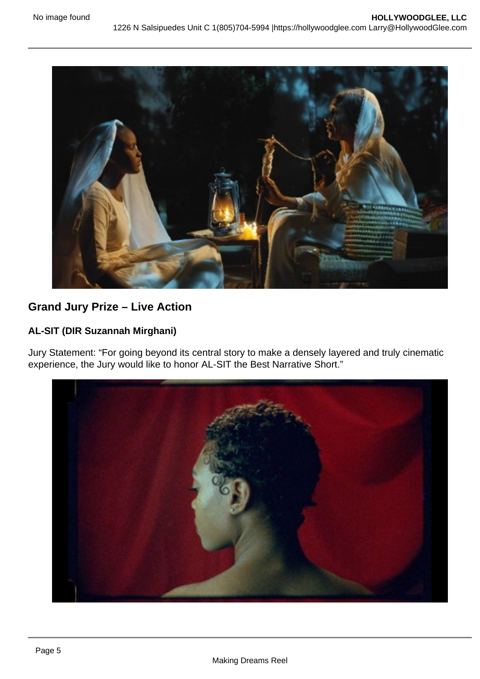

# **Grand Jury Prize – Live Action**

### **AL-SIT (DIR Suzannah Mirghani)**

Jury Statement: "For going beyond its central story to make a densely layered and truly cinematic experience, the Jury would like to honor AL-SIT the Best Narrative Short."

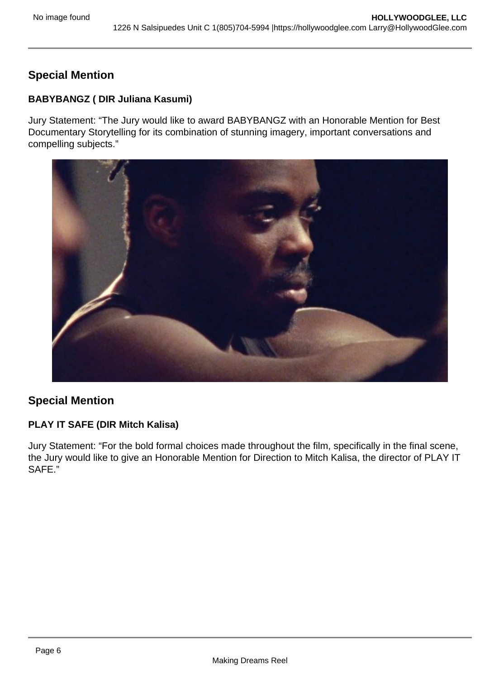# **Special Mention**

### **BABYBANGZ ( DIR Juliana Kasumi)**

Jury Statement: "The Jury would like to award BABYBANGZ with an Honorable Mention for Best Documentary Storytelling for its combination of stunning imagery, important conversations and compelling subjects."



## **Special Mention**

## **PLAY IT SAFE (DIR Mitch Kalisa)**

Jury Statement: "For the bold formal choices made throughout the film, specifically in the final scene, the Jury would like to give an Honorable Mention for Direction to Mitch Kalisa, the director of PLAY IT SAFE."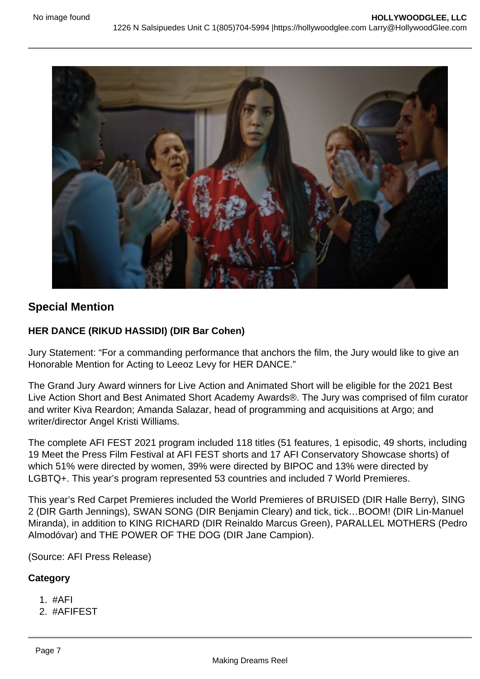

## **Special Mention**

#### **HER DANCE (RIKUD HASSIDI) (DIR Bar Cohen)**

Jury Statement: "For a commanding performance that anchors the film, the Jury would like to give an Honorable Mention for Acting to Leeoz Levy for HER DANCE."

The Grand Jury Award winners for Live Action and Animated Short will be eligible for the 2021 Best Live Action Short and Best Animated Short Academy Awards®. The Jury was comprised of film curator and writer Kiva Reardon; Amanda Salazar, head of programming and acquisitions at Argo; and writer/director Angel Kristi Williams.

The complete AFI FEST 2021 program included 118 titles (51 features, 1 episodic, 49 shorts, including 19 Meet the Press Film Festival at AFI FEST shorts and 17 AFI Conservatory Showcase shorts) of which 51% were directed by women, 39% were directed by BIPOC and 13% were directed by LGBTQ+. This year's program represented 53 countries and included 7 World Premieres.

This year's Red Carpet Premieres included the World Premieres of BRUISED (DIR Halle Berry), SING 2 (DIR Garth Jennings), SWAN SONG (DIR Benjamin Cleary) and tick, tick…BOOM! (DIR Lin-Manuel Miranda), in addition to KING RICHARD (DIR Reinaldo Marcus Green), PARALLEL MOTHERS (Pedro Almodóvar) and THE POWER OF THE DOG (DIR Jane Campion).

(Source: AFI Press Release)

#### **Category**

- 1. #AFI
- 2. #AFIFEST